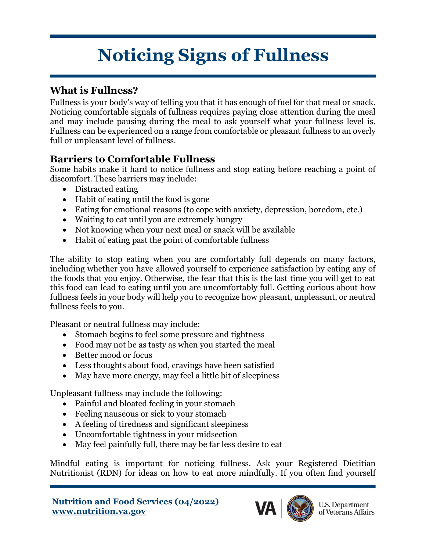# **Noticing Signs of Fullness**

#### **What is Fullness?**

Fullness is your body's way of telling you that it has enough of fuel for that meal or snack. Noticing comfortable signals of fullness requires paying close attention during the meal and may include pausing during the meal to ask yourself what your fullness level is. Fullness can be experienced on a range from comfortable or pleasant fullness to an overly full or unpleasant level of fullness.

### **Barriers to Comfortable Fullness**

Some habits make it hard to notice fullness and stop eating before reaching a point of discomfort. These barriers may include:

- Distracted eating
- Habit of eating until the food is gone
- Eating for emotional reasons (to cope with anxiety, depression, boredom, etc.)
- Waiting to eat until you are extremely hungry
- Not knowing when your next meal or snack will be available
- Habit of eating past the point of comfortable fullness

The ability to stop eating when you are comfortably full depends on many factors, including whether you have allowed yourself to experience satisfaction by eating any of the foods that you enjoy. Otherwise, the fear that this is the last time you will get to eat this food can lead to eating until you are uncomfortably full. Getting curious about how fullness feels in your body will help you to recognize how pleasant, unpleasant, or neutral fullness feels to you.

Pleasant or neutral fullness may include:

- Stomach begins to feel some pressure and tightness
- Food may not be as tasty as when you started the meal
- Better mood or focus
- Less thoughts about food, cravings have been satisfied
- May have more energy, may feel a little bit of sleepiness

Unpleasant fullness may include the following:

- Painful and bloated feeling in your stomach
- Feeling nauseous or sick to your stomach
- A feeling of tiredness and significant sleepiness
- Uncomfortable tightness in your midsection
- May feel painfully full, there may be far less desire to eat

Mindful eating is important for noticing fullness. Ask your Registered Dietitian Nutritionist (RDN) for ideas on how to eat more mindfully. If you often find yourself